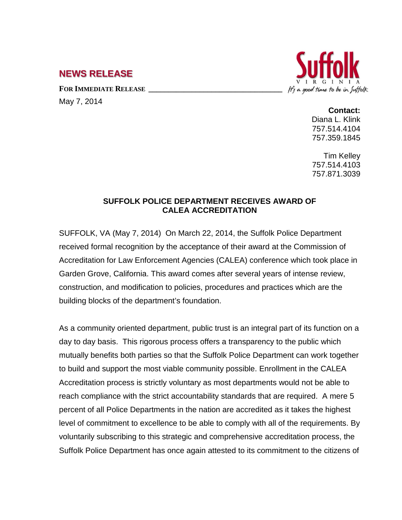## **NEWS RELEASE**

FOR **IMMEDIATE RELEASE** 

May 7, 2014



**Contact:**

Diana L. Klink 757.514.4104 757.359.1845

Tim Kelley 757.514.4103 757.871.3039

## **SUFFOLK POLICE DEPARTMENT RECEIVES AWARD OF CALEA ACCREDITATION**

SUFFOLK, VA (May 7, 2014) On March 22, 2014, the Suffolk Police Department received formal recognition by the acceptance of their award at the Commission of Accreditation for Law Enforcement Agencies (CALEA) conference which took place in Garden Grove, California. This award comes after several years of intense review, construction, and modification to policies, procedures and practices which are the building blocks of the department's foundation.

As a community oriented department, public trust is an integral part of its function on a day to day basis. This rigorous process offers a transparency to the public which mutually benefits both parties so that the Suffolk Police Department can work together to build and support the most viable community possible. Enrollment in the CALEA Accreditation process is strictly voluntary as most departments would not be able to reach compliance with the strict accountability standards that are required. A mere 5 percent of all Police Departments in the nation are accredited as it takes the highest level of commitment to excellence to be able to comply with all of the requirements. By voluntarily subscribing to this strategic and comprehensive accreditation process, the Suffolk Police Department has once again attested to its commitment to the citizens of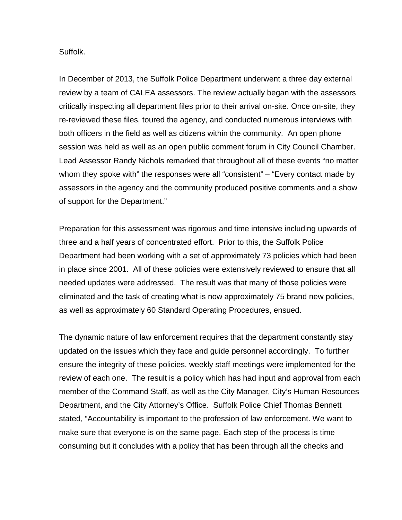## Suffolk.

In December of 2013, the Suffolk Police Department underwent a three day external review by a team of CALEA assessors. The review actually began with the assessors critically inspecting all department files prior to their arrival on-site. Once on-site, they re-reviewed these files, toured the agency, and conducted numerous interviews with both officers in the field as well as citizens within the community. An open phone session was held as well as an open public comment forum in City Council Chamber. Lead Assessor Randy Nichols remarked that throughout all of these events "no matter whom they spoke with" the responses were all "consistent" – "Every contact made by assessors in the agency and the community produced positive comments and a show of support for the Department."

Preparation for this assessment was rigorous and time intensive including upwards of three and a half years of concentrated effort. Prior to this, the Suffolk Police Department had been working with a set of approximately 73 policies which had been in place since 2001. All of these policies were extensively reviewed to ensure that all needed updates were addressed. The result was that many of those policies were eliminated and the task of creating what is now approximately 75 brand new policies, as well as approximately 60 Standard Operating Procedures, ensued.

The dynamic nature of law enforcement requires that the department constantly stay updated on the issues which they face and guide personnel accordingly. To further ensure the integrity of these policies, weekly staff meetings were implemented for the review of each one. The result is a policy which has had input and approval from each member of the Command Staff, as well as the City Manager, City's Human Resources Department, and the City Attorney's Office. Suffolk Police Chief Thomas Bennett stated, "Accountability is important to the profession of law enforcement. We want to make sure that everyone is on the same page. Each step of the process is time consuming but it concludes with a policy that has been through all the checks and